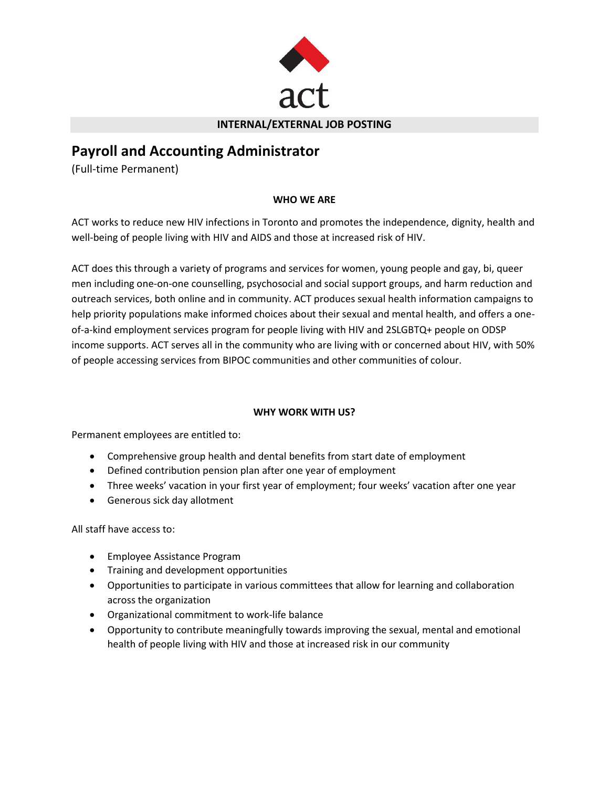

#### **INTERNAL/EXTERNAL JOB POSTING**

# **Payroll and Accounting Administrator**

(Full-time Permanent)

# **WHO WE ARE**

ACT works to reduce new HIV infections in Toronto and promotes the independence, dignity, health and well-being of people living with HIV and AIDS and those at increased risk of HIV.

ACT does this through a variety of programs and services for women, young people and gay, bi, queer men including one-on-one counselling, psychosocial and social support groups, and harm reduction and outreach services, both online and in community. ACT produces sexual health information campaigns to help priority populations make informed choices about their sexual and mental health, and offers a oneof-a-kind employment services program for people living with HIV and 2SLGBTQ+ people on ODSP income supports. ACT serves all in the community who are living with or concerned about HIV, with 50% of people accessing services from BIPOC communities and other communities of colour.

# **WHY WORK WITH US?**

Permanent employees are entitled to:

- Comprehensive group health and dental benefits from start date of employment
- Defined contribution pension plan after one year of employment
- Three weeks' vacation in your first year of employment; four weeks' vacation after one year
- Generous sick day allotment

All staff have access to:

- Employee Assistance Program
- Training and development opportunities
- Opportunities to participate in various committees that allow for learning and collaboration across the organization
- Organizational commitment to work-life balance
- Opportunity to contribute meaningfully towards improving the sexual, mental and emotional health of people living with HIV and those at increased risk in our community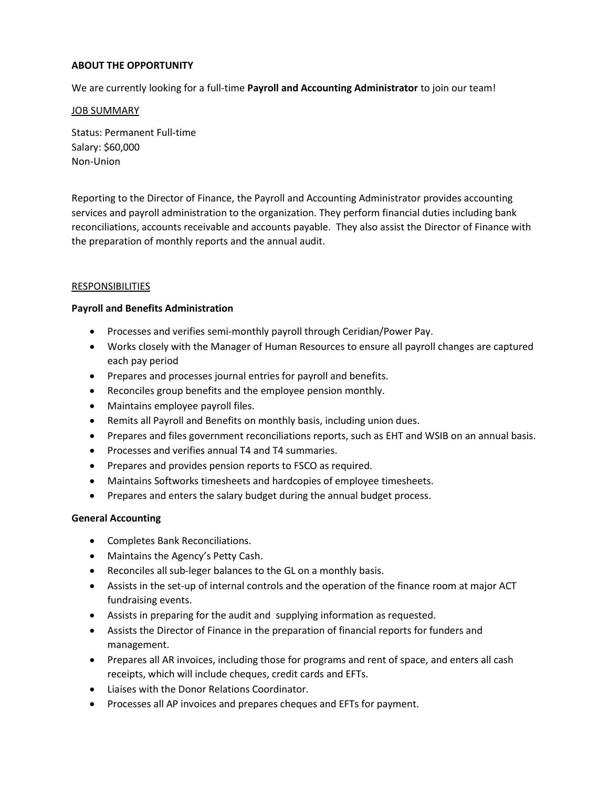# **ABOUT THE OPPORTUNITY**

We are currently looking for a full-time **Payroll and Accounting Administrator** to join our team!

#### JOB SUMMARY

Status: Permanent Full-time Salary: \$60,000 Non-Union

Reporting to the Director of Finance, the Payroll and Accounting Administrator provides accounting services and payroll administration to the organization. They perform financial duties including bank reconciliations, accounts receivable and accounts payable. They also assist the Director of Finance with the preparation of monthly reports and the annual audit.

# RESPONSIBILITIES

#### **Payroll and Benefits Administration**

- Processes and verifies semi-monthly payroll through Ceridian/Power Pay.
- Works closely with the Manager of Human Resources to ensure all payroll changes are captured each pay period
- Prepares and processes journal entries for payroll and benefits.
- Reconciles group benefits and the employee pension monthly.
- Maintains employee payroll files.
- Remits all Payroll and Benefits on monthly basis, including union dues.
- Prepares and files government reconciliations reports, such as EHT and WSIB on an annual basis.
- Processes and verifies annual T4 and T4 summaries.
- Prepares and provides pension reports to FSCO as required.
- Maintains Softworks timesheets and hardcopies of employee timesheets.
- Prepares and enters the salary budget during the annual budget process.

#### **General Accounting**

- Completes Bank Reconciliations.
- Maintains the Agency's Petty Cash.
- Reconciles all sub-leger balances to the GL on a monthly basis.
- Assists in the set-up of internal controls and the operation of the finance room at major ACT fundraising events.
- Assists in preparing for the audit and supplying information as requested.
- Assists the Director of Finance in the preparation of financial reports for funders and management.
- Prepares all AR invoices, including those for programs and rent of space, and enters all cash receipts, which will include cheques, credit cards and EFTs.
- Liaises with the Donor Relations Coordinator.
- Processes all AP invoices and prepares cheques and EFTs for payment.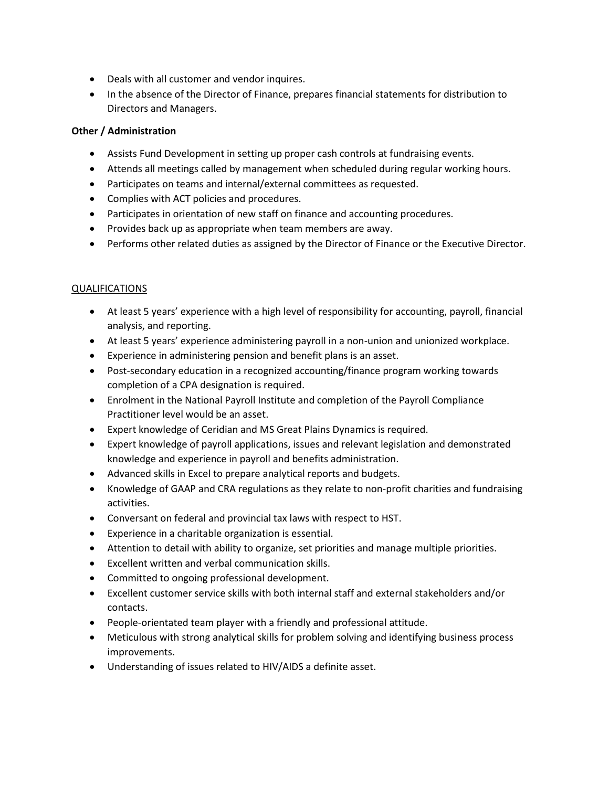- Deals with all customer and vendor inquires.
- In the absence of the Director of Finance, prepares financial statements for distribution to Directors and Managers.

# **Other / Administration**

- Assists Fund Development in setting up proper cash controls at fundraising events.
- Attends all meetings called by management when scheduled during regular working hours.
- Participates on teams and internal/external committees as requested.
- Complies with ACT policies and procedures.
- Participates in orientation of new staff on finance and accounting procedures.
- Provides back up as appropriate when team members are away.
- Performs other related duties as assigned by the Director of Finance or the Executive Director.

#### QUALIFICATIONS

- At least 5 years' experience with a high level of responsibility for accounting, payroll, financial analysis, and reporting.
- At least 5 years' experience administering payroll in a non-union and unionized workplace.
- Experience in administering pension and benefit plans is an asset.
- Post-secondary education in a recognized accounting/finance program working towards completion of a CPA designation is required.
- Enrolment in the National Payroll Institute and completion of the Payroll Compliance Practitioner level would be an asset.
- Expert knowledge of Ceridian and MS Great Plains Dynamics is required.
- Expert knowledge of payroll applications, issues and relevant legislation and demonstrated knowledge and experience in payroll and benefits administration.
- Advanced skills in Excel to prepare analytical reports and budgets.
- Knowledge of GAAP and CRA regulations as they relate to non-profit charities and fundraising activities.
- Conversant on federal and provincial tax laws with respect to HST.
- Experience in a charitable organization is essential.
- Attention to detail with ability to organize, set priorities and manage multiple priorities.
- Excellent written and verbal communication skills.
- Committed to ongoing professional development.
- Excellent customer service skills with both internal staff and external stakeholders and/or contacts.
- People-orientated team player with a friendly and professional attitude.
- Meticulous with strong analytical skills for problem solving and identifying business process improvements.
- Understanding of issues related to HIV/AIDS a definite asset.